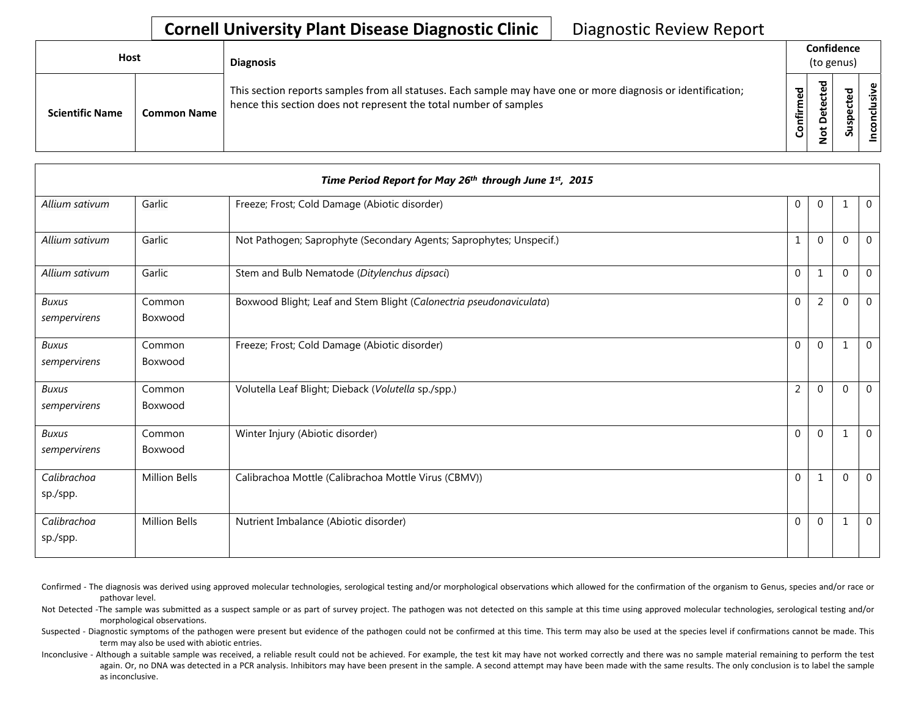## **Cornell University Plant Disease Diagnostic Clinic** | Diagnostic Review Report

| <b>Host</b>            |                    | <b>Diagnosis</b>                                                                                                                                                                   |                 | Confidence<br>(to genus)           |                          |         |
|------------------------|--------------------|------------------------------------------------------------------------------------------------------------------------------------------------------------------------------------|-----------------|------------------------------------|--------------------------|---------|
| <b>Scientific Name</b> | <b>Common Name</b> | This section reports samples from all statuses. Each sample may have one or more diagnosis or identification;<br>hence this section does not represent the total number of samples | ᇴ<br>ω<br>onfir | ਹ<br>g<br>ete<br>۵<br>ى<br>$\circ$ | ᇴ<br>یو<br>ن<br>௨<br>Sus | nclusiv |

|                              |                      | Time Period Report for May 26th through June 1st, 2015              |                |                |             |                |
|------------------------------|----------------------|---------------------------------------------------------------------|----------------|----------------|-------------|----------------|
| Allium sativum               | Garlic               | Freeze; Frost; Cold Damage (Abiotic disorder)                       | $\Omega$       | $\Omega$       | 1           | $\mathbf 0$    |
| Allium sativum               | Garlic               | Not Pathogen; Saprophyte (Secondary Agents; Saprophytes; Unspecif.) | $\mathbf{1}$   | $\Omega$       | $\Omega$    | $\mathbf{0}$   |
| Allium sativum               | Garlic               | Stem and Bulb Nematode (Ditylenchus dipsaci)                        | $\Omega$       | $\mathbf{1}$   | $\mathbf 0$ | $\mathbf 0$    |
| <b>Buxus</b><br>sempervirens | Common<br>Boxwood    | Boxwood Blight; Leaf and Stem Blight (Calonectria pseudonaviculata) | $\Omega$       | $\overline{2}$ | $\Omega$    | $\mathbf 0$    |
| <b>Buxus</b><br>sempervirens | Common<br>Boxwood    | Freeze; Frost; Cold Damage (Abiotic disorder)                       | $\Omega$       | $\overline{0}$ | 1           | $\mathbf 0$    |
| <b>Buxus</b><br>sempervirens | Common<br>Boxwood    | Volutella Leaf Blight; Dieback (Volutella sp./spp.)                 | $\overline{2}$ | $\Omega$       | $\Omega$    | $\Omega$       |
| <b>Buxus</b><br>sempervirens | Common<br>Boxwood    | Winter Injury (Abiotic disorder)                                    | $\Omega$       | $\Omega$       | 1           | $\overline{0}$ |
| Calibrachoa<br>sp./spp.      | <b>Million Bells</b> | Calibrachoa Mottle (Calibrachoa Mottle Virus (CBMV))                | $\Omega$       | $\mathbf{1}$   | $\mathbf 0$ | $\mathbf 0$    |
| Calibrachoa<br>sp./spp.      | <b>Million Bells</b> | Nutrient Imbalance (Abiotic disorder)                               | $\mathbf 0$    | $\overline{0}$ | 1           | $\mathbf 0$    |

Confirmed - The diagnosis was derived using approved molecular technologies, serological testing and/or morphological observations which allowed for the confirmation of the organism to Genus, species and/or race or pathovar level.

Not Detected -The sample was submitted as a suspect sample or as part of survey project. The pathogen was not detected on this sample at this time using approved molecular technologies, serological testing and/or morphological observations.

Suspected - Diagnostic symptoms of the pathogen were present but evidence of the pathogen could not be confirmed at this time. This term may also be used at the species level if confirmations cannot be made. This term may also be used with abiotic entries.

Inconclusive - Although a suitable sample was received, a reliable result could not be achieved. For example, the test kit may have not worked correctly and there was no sample material remaining to perform the test again. Or, no DNA was detected in a PCR analysis. Inhibitors may have been present in the sample. A second attempt may have been made with the same results. The only conclusion is to label the sample as inconclusive.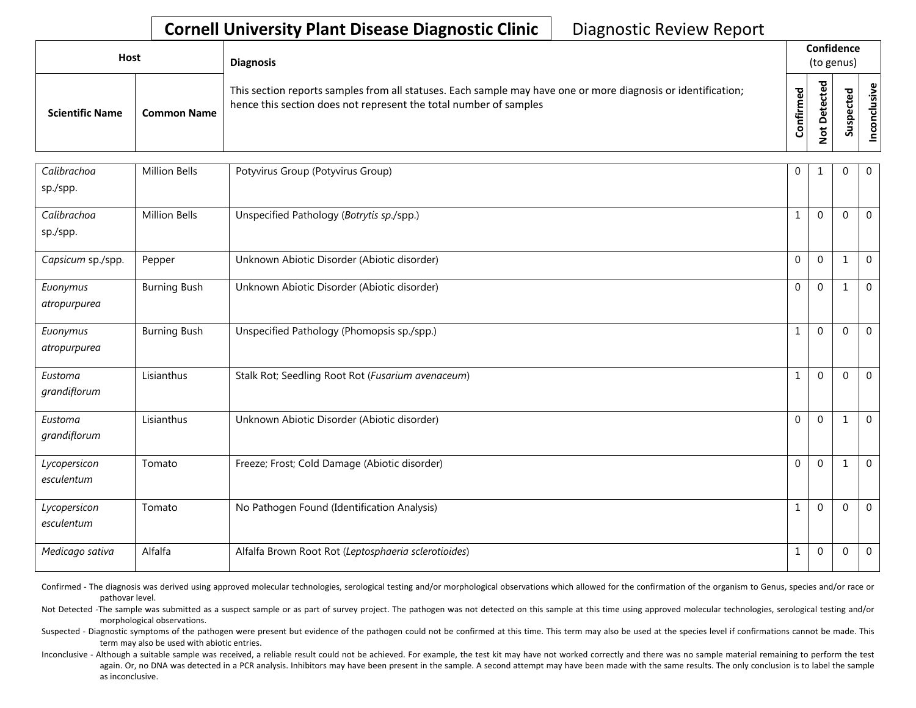## **Cornell University Plant Disease Diagnostic Clinic** | Diagnostic Review Report

| Host                   |                    | <b>Diagnosis</b>                                                                                                                                                                   |               | Confidence<br>(to genus)                      |        |                                                |
|------------------------|--------------------|------------------------------------------------------------------------------------------------------------------------------------------------------------------------------------|---------------|-----------------------------------------------|--------|------------------------------------------------|
| <b>Scientific Name</b> | <b>Common Name</b> | This section reports samples from all statuses. Each sample may have one or more diagnosis or identification;<br>hence this section does not represent the total number of samples | ЪЪ<br>둘<br>ලි | ਠ<br>Φ<br>ω<br>٥<br>۵<br>$\frac{1}{2}$<br>c., | ъ<br>S | ഄ<br>$\overline{\mathbf{a}}$<br>᠊ᠣ<br><u>င</u> |

| Calibrachoa<br>sp./spp.    | <b>Million Bells</b> | Potyvirus Group (Potyvirus Group)                    | $\overline{0}$ | 1            | $\mathbf 0$    | $\mathbf 0$    |
|----------------------------|----------------------|------------------------------------------------------|----------------|--------------|----------------|----------------|
| Calibrachoa<br>sp./spp.    | <b>Million Bells</b> | Unspecified Pathology (Botrytis sp./spp.)            | 1              | $\Omega$     | $\mathbf 0$    | $\mathbf 0$    |
| Capsicum sp./spp.          | Pepper               | Unknown Abiotic Disorder (Abiotic disorder)          | $\Omega$       | $\Omega$     | 1              | $\mathbf 0$    |
| Euonymus<br>atropurpurea   | <b>Burning Bush</b>  | Unknown Abiotic Disorder (Abiotic disorder)          | $\Omega$       | $\Omega$     |                | $\mathbf 0$    |
| Euonymus<br>atropurpurea   | <b>Burning Bush</b>  | Unspecified Pathology (Phomopsis sp./spp.)           | $\mathbf{1}$   | $\Omega$     | $\mathbf 0$    | $\mathbf 0$    |
| Eustoma<br>grandiflorum    | Lisianthus           | Stalk Rot; Seedling Root Rot (Fusarium avenaceum)    | $\mathbf{1}$   | $\Omega$     | $\mathbf 0$    | $\mathbf 0$    |
| Eustoma<br>grandiflorum    | Lisianthus           | Unknown Abiotic Disorder (Abiotic disorder)          | $\Omega$       | $\Omega$     |                | $\mathbf{0}$   |
| Lycopersicon<br>esculentum | Tomato               | Freeze; Frost; Cold Damage (Abiotic disorder)        | $\Omega$       | $\Omega$     | 1              | $\mathbf{0}$   |
| Lycopersicon<br>esculentum | Tomato               | No Pathogen Found (Identification Analysis)          | $\mathbf{1}$   | $\Omega$     | $\overline{0}$ | $\mathbf 0$    |
| Medicago sativa            | Alfalfa              | Alfalfa Brown Root Rot (Leptosphaeria sclerotioides) | 1              | $\mathbf{0}$ | $\mathbf 0$    | $\overline{0}$ |

Confirmed - The diagnosis was derived using approved molecular technologies, serological testing and/or morphological observations which allowed for the confirmation of the organism to Genus, species and/or race or pathovar level.

Not Detected -The sample was submitted as a suspect sample or as part of survey project. The pathogen was not detected on this sample at this time using approved molecular technologies, serological testing and/or morphological observations.

Suspected - Diagnostic symptoms of the pathogen were present but evidence of the pathogen could not be confirmed at this time. This term may also be used at the species level if confirmations cannot be made. This term may also be used with abiotic entries.

Inconclusive - Although a suitable sample was received, a reliable result could not be achieved. For example, the test kit may have not worked correctly and there was no sample material remaining to perform the test again. Or, no DNA was detected in a PCR analysis. Inhibitors may have been present in the sample. A second attempt may have been made with the same results. The only conclusion is to label the sample as inconclusive.